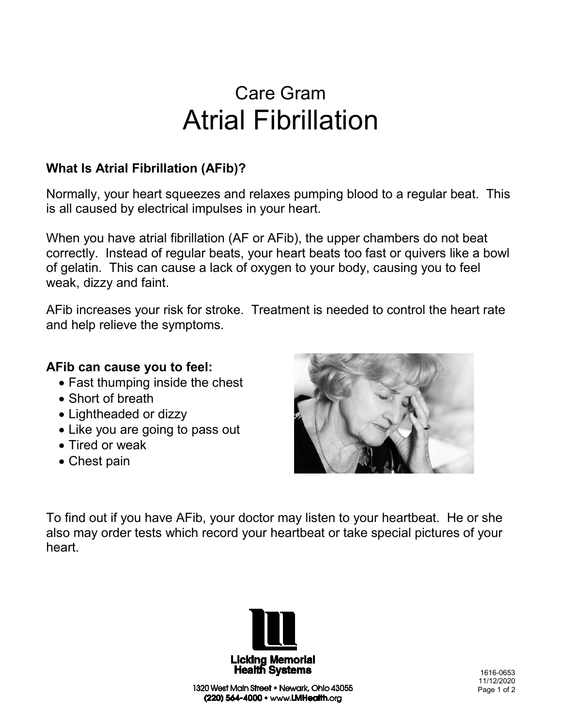# Care Gram Atrial Fibrillation

## **What Is Atrial Fibrillation (AFib)?**

Normally, your heart squeezes and relaxes pumping blood to a regular beat. This is all caused by electrical impulses in your heart.

When you have atrial fibrillation (AF or AFib), the upper chambers do not beat correctly. Instead of regular beats, your heart beats too fast or quivers like a bowl of gelatin. This can cause a lack of oxygen to your body, causing you to feel weak, dizzy and faint.

AFib increases your risk for stroke. Treatment is needed to control the heart rate and help relieve the symptoms.

### **AFib can cause you to feel:**

- Fast thumping inside the chest
- Short of breath
- Lightheaded or dizzy
- Like you are going to pass out
- Tired or weak
- Chest pain



To find out if you have AFib, your doctor may listen to your heartbeat. He or she also may order tests which record your heartbeat or take special pictures of your heart.



1320 West Main Street . Newark, Ohio 43055 (220) 564-4000 · www.LMHealth.org

1616-0653 11/12/2020 Page 1 of 2